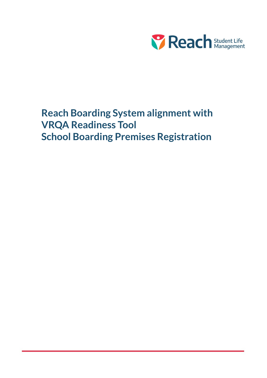

# Reach Boarding System alignment with VRQA Readiness Tool School Boarding Premises Registration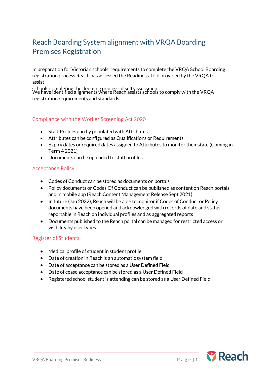# Reach Boarding System alignment with VRQA Boarding Premises Registration

In preparation for Victorian schools' requirements to complete the VRQA School Boarding registration process Reach has assessed the Readiness Tool provided by the VRQA to assist

schools completing the deeming process of self-assessment. We have identified alignments where Reach assists schools to comply with the VRQA registration requirements and standards.

#### Compliance with the Worker Screening Act 2020

- Staff Profiles can by populated with Attributes
- Attributes can be configured as Qualifications or Requirements
- Expiry dates or required dates assigned to Attributes to monitor their state (Coming in Term 4 2021)
- Documents can be uploaded to staff profiles

# Acceptance Policy

- Codes of Conduct can be stored as documents on portals
- Policy documents or Codes Of Conduct can be published as content on Reach portals and in mobile app (Reach Content Management Release Sept 2021)
- In future (Jan 2022), Reach will be able to monitor if Codes of Conduct or Policy documents have been opened and acknowledged with records of date and status reportable in Reach on individual profiles and as aggregated reports
- Documents published to the Reach portal can be managed for restricted access or visibility by user types

# Register of Students

- Medical profile of student in student profile
- Date of creation in Reach is an automatic system field
- Date of acceptance can be stored as a User Defined Field
- Date of cease acceptance can be stored as a User Defined Field
- Registered school student is attending can be stored as a User Defined Field

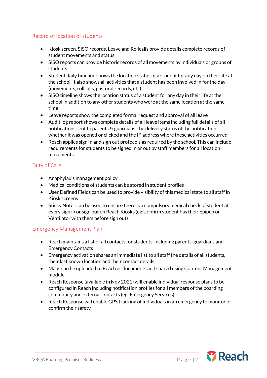# Record of location of students

- Kiosk screen, SISO records, Leave and Rollcalls provide details complete records of student movements and status
- SISO reports can provide historic records of all movements by individuals or groups of students
- Student daily timeline shows the location status of a student for any day on their life at the school, it also shows all activities that a student has been involved in for the day (movements, rollcalls, pastoral records, etc)
- SISO timeline shows the location status of a student for any day in their life at the school in addition to any other students who were at the same location at the same time
- Leave reports show the completed formal request and approval of all leave
- Audit log report shows complete details of all leave items including full details of all notifications sent to parents & guardians, the delivery status of the notification, whether it was opened or clicked and the IP address where these activities occurred.
- Reach applies sign in and sign out protocols as required by the school. This can include requirements for students to be signed in or out by staff members for all location movements

# Duty of Care

- Anaphylaxis management policy
- Medical conditions of students can be stored in student profiles
- User Defined Fields can be used to provide visibility of this medical state to all staff in Kiosk screens
- Sticky Notes can be used to ensure there is a compulsory medical check of student at every sign in or sign out on Reach Kiosks (eg: confirm student has their Epipen or Ventilator with them before sign out)

# Emergency Management Plan

- Reach maintains a list of all contacts for students, including parents, guardians and Emergency Contacts
- Emergency activation shares an immediate list to all staff the details of all students, their last known location and their contact details
- Maps can be uploaded to Reach as documents and shared using Content Management module
- Reach Response (available in Nov 2021) will enable individual response plans to be configured in Reach including notification profiles for all members of the boarding community and external contacts (eg: Emergency Services)
- Reach Response will enable GPS tracking of individuals in an emergency to monitor or confirm their safety

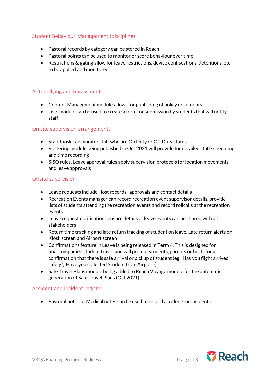# Student Behaviour Management (discipline)

- Pastoral records by category can be stored in Reach
- Pastoral points can be used to monitor or score behaviour over time
- Restrictions & gating allow for leave restrictions, device confiscations, detentions, etc to be applied and monitored

#### Anti-bullying and harassment

- Content Management module allows for publishing of policy documents
- Lists module can be used to create a form for submission by students that will notify staff

#### On site supervision arrangements

- Staff Kiosk can monitor staff who are On Duty or Off Duty status
- Rostering module being published in Oct 2021 will provide for detailed staff scheduling and time recording
- SISO rules, Leave approval rules apply supervision protocols for location movements and leave approvals

#### Offsite supervision

- Leave requests include Host records, approvals and contact details
- Recreation Events manager can record recreation event supervisor details, provide lists of students attending the recreation events and record rollcalls at the recreation events
- Leave request notifications ensure details of leave events can be shared with all stakeholders
- Return time tracking and late return tracking of student on leave. Late return alerts on Kiosk screen and Airport screen
- Confirmations feature in Leave is being released in Term 4. This is designed for unaccompanied student travel and will prompt students, parents or hosts for a confirmation that there is safe arrival or pickup of student (eg: Has you flight arrived safely?, Have you collected Student from Airport?)
- Safe Travel Plans module being added to Reach Voyage module for the automatic generation of Safe Travel Plans (Oct 2021)

#### Accident and Incident register

• Pastoral notes or Medical notes can be used to record accidents or incidents